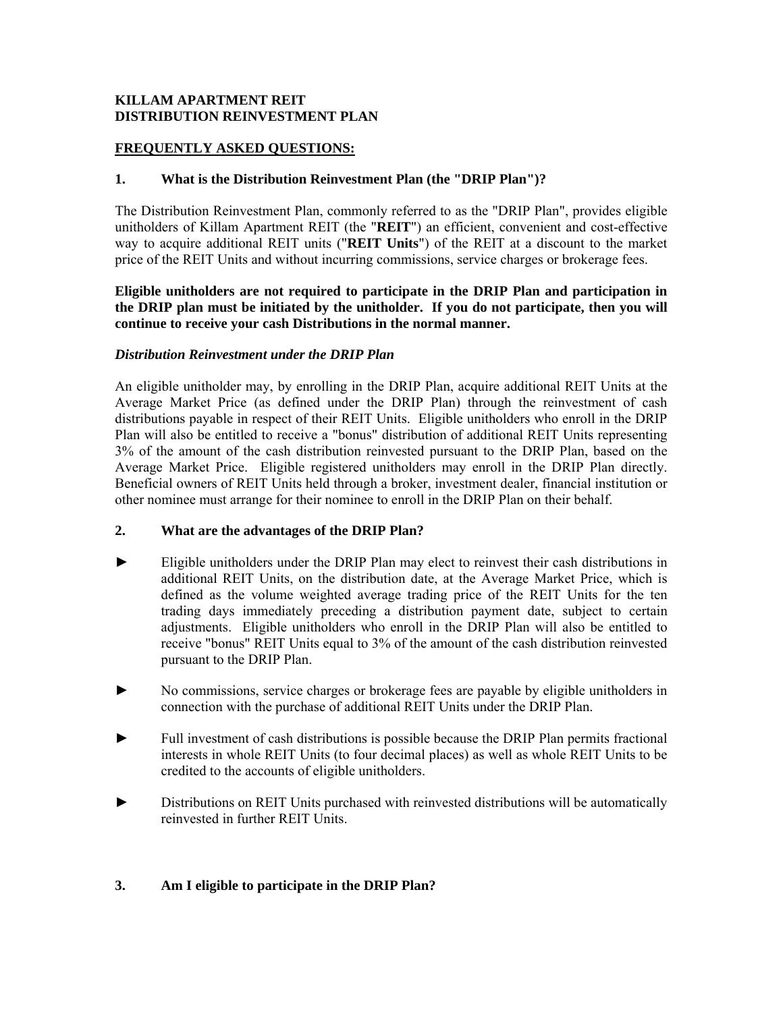### **KILLAM APARTMENT REIT DISTRIBUTION REINVESTMENT PLAN**

# **FREQUENTLY ASKED QUESTIONS:**

### **1. What is the Distribution Reinvestment Plan (the "DRIP Plan")?**

The Distribution Reinvestment Plan, commonly referred to as the "DRIP Plan", provides eligible unitholders of Killam Apartment REIT (the "**REIT**") an efficient, convenient and cost-effective way to acquire additional REIT units ("**REIT Units**") of the REIT at a discount to the market price of the REIT Units and without incurring commissions, service charges or brokerage fees.

### **Eligible unitholders are not required to participate in the DRIP Plan and participation in the DRIP plan must be initiated by the unitholder. If you do not participate, then you will continue to receive your cash Distributions in the normal manner.**

## *Distribution Reinvestment under the DRIP Plan*

An eligible unitholder may, by enrolling in the DRIP Plan, acquire additional REIT Units at the Average Market Price (as defined under the DRIP Plan) through the reinvestment of cash distributions payable in respect of their REIT Units. Eligible unitholders who enroll in the DRIP Plan will also be entitled to receive a "bonus" distribution of additional REIT Units representing 3% of the amount of the cash distribution reinvested pursuant to the DRIP Plan, based on the Average Market Price. Eligible registered unitholders may enroll in the DRIP Plan directly. Beneficial owners of REIT Units held through a broker, investment dealer, financial institution or other nominee must arrange for their nominee to enroll in the DRIP Plan on their behalf.

### **2. What are the advantages of the DRIP Plan?**

- ► Eligible unitholders under the DRIP Plan may elect to reinvest their cash distributions in additional REIT Units, on the distribution date, at the Average Market Price, which is defined as the volume weighted average trading price of the REIT Units for the ten trading days immediately preceding a distribution payment date, subject to certain adjustments. Eligible unitholders who enroll in the DRIP Plan will also be entitled to receive "bonus" REIT Units equal to 3% of the amount of the cash distribution reinvested pursuant to the DRIP Plan.
- ► No commissions, service charges or brokerage fees are payable by eligible unitholders in connection with the purchase of additional REIT Units under the DRIP Plan.
- Full investment of cash distributions is possible because the DRIP Plan permits fractional interests in whole REIT Units (to four decimal places) as well as whole REIT Units to be credited to the accounts of eligible unitholders.
- ► Distributions on REIT Units purchased with reinvested distributions will be automatically reinvested in further REIT Units.

# **3. Am I eligible to participate in the DRIP Plan?**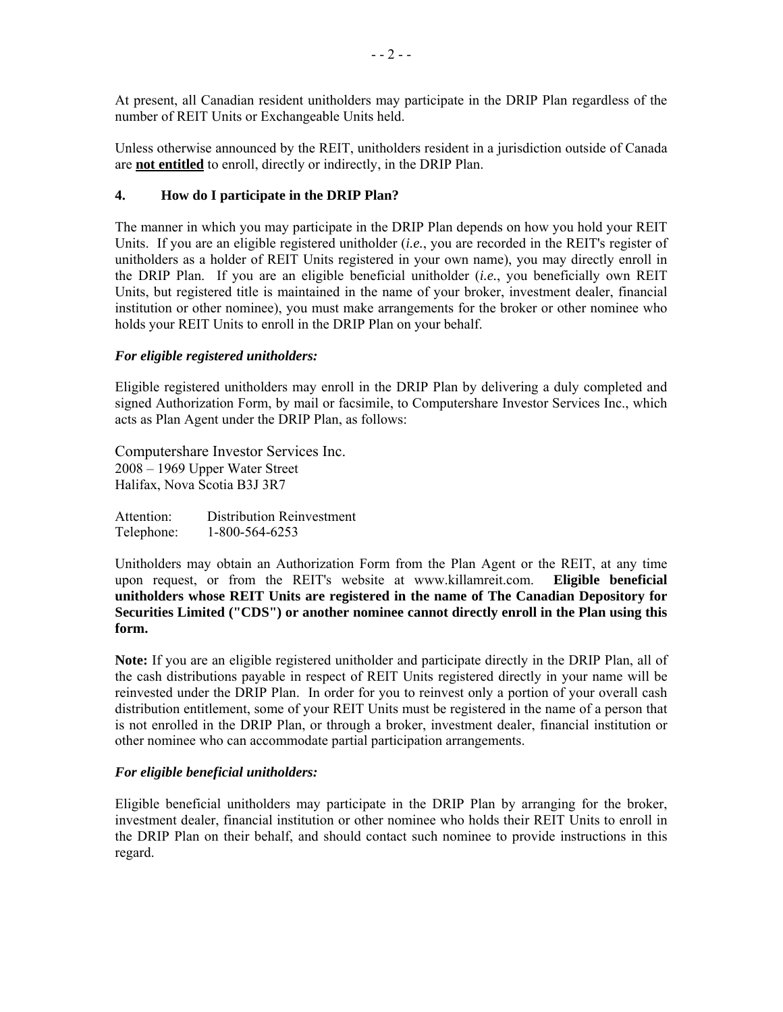At present, all Canadian resident unitholders may participate in the DRIP Plan regardless of the number of REIT Units or Exchangeable Units held.

Unless otherwise announced by the REIT, unitholders resident in a jurisdiction outside of Canada are **not entitled** to enroll, directly or indirectly, in the DRIP Plan.

### **4. How do I participate in the DRIP Plan?**

The manner in which you may participate in the DRIP Plan depends on how you hold your REIT Units. If you are an eligible registered unitholder (*i.e.*, you are recorded in the REIT's register of unitholders as a holder of REIT Units registered in your own name), you may directly enroll in the DRIP Plan. If you are an eligible beneficial unitholder (*i.e.*, you beneficially own REIT Units, but registered title is maintained in the name of your broker, investment dealer, financial institution or other nominee), you must make arrangements for the broker or other nominee who holds your REIT Units to enroll in the DRIP Plan on your behalf.

### *For eligible registered unitholders:*

Eligible registered unitholders may enroll in the DRIP Plan by delivering a duly completed and signed Authorization Form, by mail or facsimile, to Computershare Investor Services Inc., which acts as Plan Agent under the DRIP Plan, as follows:

Computershare Investor Services Inc. 2008 – 1969 Upper Water Street Halifax, Nova Scotia B3J 3R7

Attention: Distribution Reinvestment Telephone: 1-800-564-6253

Unitholders may obtain an Authorization Form from the Plan Agent or the REIT, at any time upon request, or from the REIT's website at www.killamreit.com. **Eligible beneficial unitholders whose REIT Units are registered in the name of The Canadian Depository for Securities Limited ("CDS") or another nominee cannot directly enroll in the Plan using this form.**

**Note:** If you are an eligible registered unitholder and participate directly in the DRIP Plan, all of the cash distributions payable in respect of REIT Units registered directly in your name will be reinvested under the DRIP Plan. In order for you to reinvest only a portion of your overall cash distribution entitlement, some of your REIT Units must be registered in the name of a person that is not enrolled in the DRIP Plan, or through a broker, investment dealer, financial institution or other nominee who can accommodate partial participation arrangements.

### *For eligible beneficial unitholders:*

Eligible beneficial unitholders may participate in the DRIP Plan by arranging for the broker, investment dealer, financial institution or other nominee who holds their REIT Units to enroll in the DRIP Plan on their behalf, and should contact such nominee to provide instructions in this regard.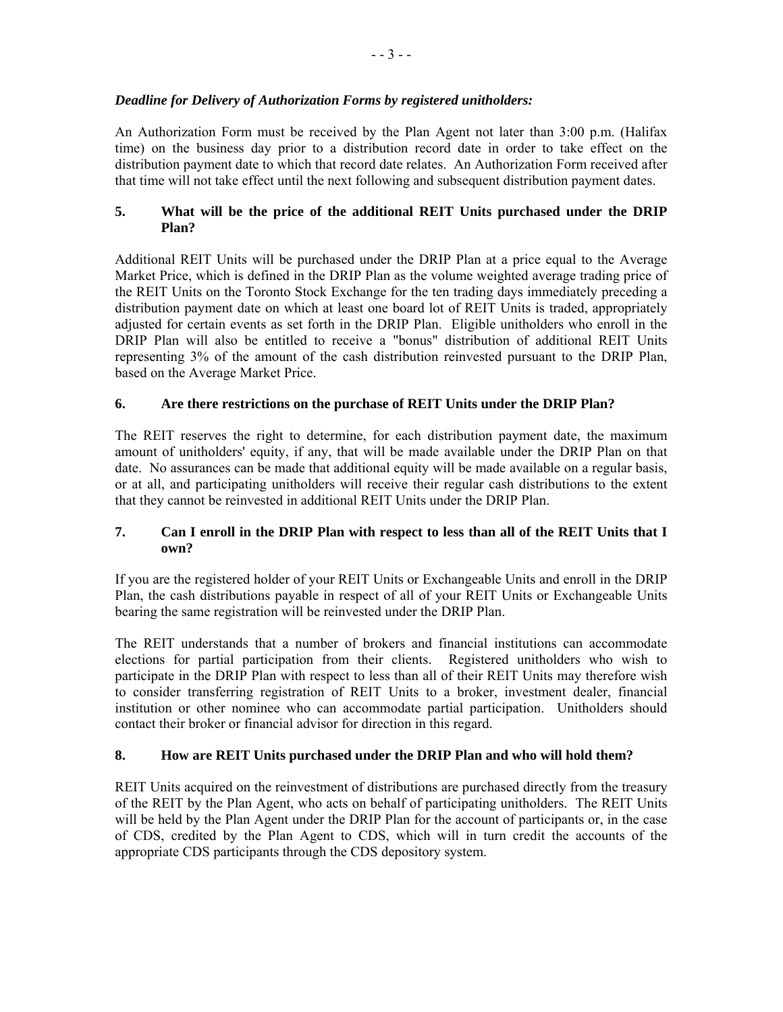## *Deadline for Delivery of Authorization Forms by registered unitholders:*

An Authorization Form must be received by the Plan Agent not later than 3:00 p.m. (Halifax time) on the business day prior to a distribution record date in order to take effect on the distribution payment date to which that record date relates. An Authorization Form received after that time will not take effect until the next following and subsequent distribution payment dates.

# **5. What will be the price of the additional REIT Units purchased under the DRIP Plan?**

Additional REIT Units will be purchased under the DRIP Plan at a price equal to the Average Market Price, which is defined in the DRIP Plan as the volume weighted average trading price of the REIT Units on the Toronto Stock Exchange for the ten trading days immediately preceding a distribution payment date on which at least one board lot of REIT Units is traded, appropriately adjusted for certain events as set forth in the DRIP Plan. Eligible unitholders who enroll in the DRIP Plan will also be entitled to receive a "bonus" distribution of additional REIT Units representing 3% of the amount of the cash distribution reinvested pursuant to the DRIP Plan, based on the Average Market Price.

# **6. Are there restrictions on the purchase of REIT Units under the DRIP Plan?**

The REIT reserves the right to determine, for each distribution payment date, the maximum amount of unitholders' equity, if any, that will be made available under the DRIP Plan on that date. No assurances can be made that additional equity will be made available on a regular basis, or at all, and participating unitholders will receive their regular cash distributions to the extent that they cannot be reinvested in additional REIT Units under the DRIP Plan.

## **7. Can I enroll in the DRIP Plan with respect to less than all of the REIT Units that I own?**

If you are the registered holder of your REIT Units or Exchangeable Units and enroll in the DRIP Plan, the cash distributions payable in respect of all of your REIT Units or Exchangeable Units bearing the same registration will be reinvested under the DRIP Plan.

The REIT understands that a number of brokers and financial institutions can accommodate elections for partial participation from their clients. Registered unitholders who wish to participate in the DRIP Plan with respect to less than all of their REIT Units may therefore wish to consider transferring registration of REIT Units to a broker, investment dealer, financial institution or other nominee who can accommodate partial participation. Unitholders should contact their broker or financial advisor for direction in this regard.

# **8. How are REIT Units purchased under the DRIP Plan and who will hold them?**

REIT Units acquired on the reinvestment of distributions are purchased directly from the treasury of the REIT by the Plan Agent, who acts on behalf of participating unitholders. The REIT Units will be held by the Plan Agent under the DRIP Plan for the account of participants or, in the case of CDS, credited by the Plan Agent to CDS, which will in turn credit the accounts of the appropriate CDS participants through the CDS depository system.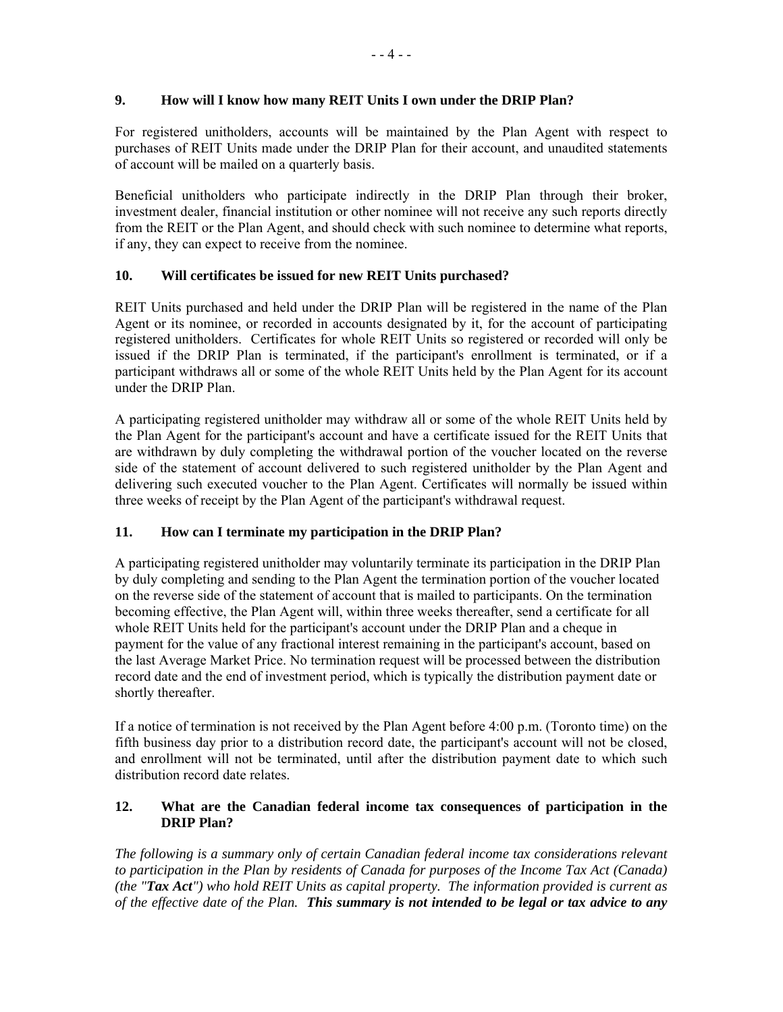## **9. How will I know how many REIT Units I own under the DRIP Plan?**

For registered unitholders, accounts will be maintained by the Plan Agent with respect to purchases of REIT Units made under the DRIP Plan for their account, and unaudited statements of account will be mailed on a quarterly basis.

Beneficial unitholders who participate indirectly in the DRIP Plan through their broker, investment dealer, financial institution or other nominee will not receive any such reports directly from the REIT or the Plan Agent, and should check with such nominee to determine what reports, if any, they can expect to receive from the nominee.

# **10. Will certificates be issued for new REIT Units purchased?**

REIT Units purchased and held under the DRIP Plan will be registered in the name of the Plan Agent or its nominee, or recorded in accounts designated by it, for the account of participating registered unitholders. Certificates for whole REIT Units so registered or recorded will only be issued if the DRIP Plan is terminated, if the participant's enrollment is terminated, or if a participant withdraws all or some of the whole REIT Units held by the Plan Agent for its account under the DRIP Plan.

A participating registered unitholder may withdraw all or some of the whole REIT Units held by the Plan Agent for the participant's account and have a certificate issued for the REIT Units that are withdrawn by duly completing the withdrawal portion of the voucher located on the reverse side of the statement of account delivered to such registered unitholder by the Plan Agent and delivering such executed voucher to the Plan Agent. Certificates will normally be issued within three weeks of receipt by the Plan Agent of the participant's withdrawal request.

# **11. How can I terminate my participation in the DRIP Plan?**

A participating registered unitholder may voluntarily terminate its participation in the DRIP Plan by duly completing and sending to the Plan Agent the termination portion of the voucher located on the reverse side of the statement of account that is mailed to participants. On the termination becoming effective, the Plan Agent will, within three weeks thereafter, send a certificate for all whole REIT Units held for the participant's account under the DRIP Plan and a cheque in payment for the value of any fractional interest remaining in the participant's account, based on the last Average Market Price. No termination request will be processed between the distribution record date and the end of investment period, which is typically the distribution payment date or shortly thereafter.

If a notice of termination is not received by the Plan Agent before 4:00 p.m. (Toronto time) on the fifth business day prior to a distribution record date, the participant's account will not be closed, and enrollment will not be terminated, until after the distribution payment date to which such distribution record date relates.

## **12. What are the Canadian federal income tax consequences of participation in the DRIP Plan?**

*The following is a summary only of certain Canadian federal income tax considerations relevant to participation in the Plan by residents of Canada for purposes of the Income Tax Act (Canada) (the "Tax Act") who hold REIT Units as capital property. The information provided is current as of the effective date of the Plan. This summary is not intended to be legal or tax advice to any*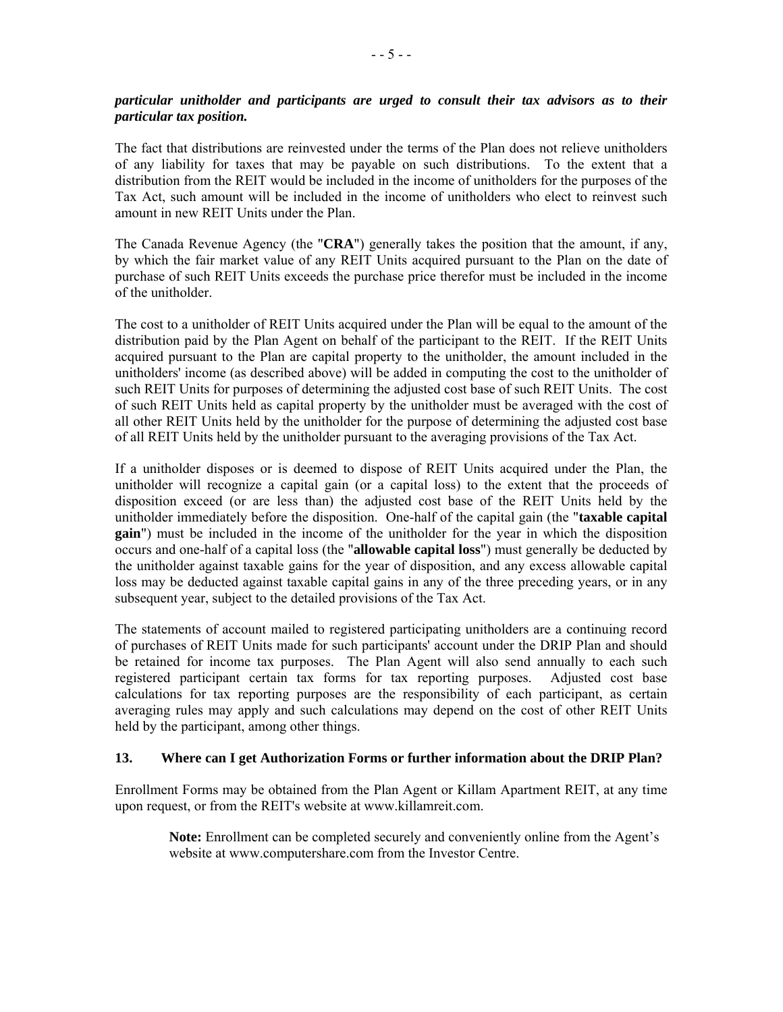#### *particular unitholder and participants are urged to consult their tax advisors as to their particular tax position.*

The fact that distributions are reinvested under the terms of the Plan does not relieve unitholders of any liability for taxes that may be payable on such distributions. To the extent that a distribution from the REIT would be included in the income of unitholders for the purposes of the Tax Act, such amount will be included in the income of unitholders who elect to reinvest such amount in new REIT Units under the Plan.

The Canada Revenue Agency (the "**CRA**") generally takes the position that the amount, if any, by which the fair market value of any REIT Units acquired pursuant to the Plan on the date of purchase of such REIT Units exceeds the purchase price therefor must be included in the income of the unitholder.

The cost to a unitholder of REIT Units acquired under the Plan will be equal to the amount of the distribution paid by the Plan Agent on behalf of the participant to the REIT. If the REIT Units acquired pursuant to the Plan are capital property to the unitholder, the amount included in the unitholders' income (as described above) will be added in computing the cost to the unitholder of such REIT Units for purposes of determining the adjusted cost base of such REIT Units. The cost of such REIT Units held as capital property by the unitholder must be averaged with the cost of all other REIT Units held by the unitholder for the purpose of determining the adjusted cost base of all REIT Units held by the unitholder pursuant to the averaging provisions of the Tax Act.

If a unitholder disposes or is deemed to dispose of REIT Units acquired under the Plan, the unitholder will recognize a capital gain (or a capital loss) to the extent that the proceeds of disposition exceed (or are less than) the adjusted cost base of the REIT Units held by the unitholder immediately before the disposition. One-half of the capital gain (the "**taxable capital gain**") must be included in the income of the unitholder for the year in which the disposition occurs and one-half of a capital loss (the "**allowable capital loss**") must generally be deducted by the unitholder against taxable gains for the year of disposition, and any excess allowable capital loss may be deducted against taxable capital gains in any of the three preceding years, or in any subsequent year, subject to the detailed provisions of the Tax Act.

The statements of account mailed to registered participating unitholders are a continuing record of purchases of REIT Units made for such participants' account under the DRIP Plan and should be retained for income tax purposes. The Plan Agent will also send annually to each such registered participant certain tax forms for tax reporting purposes. Adjusted cost base calculations for tax reporting purposes are the responsibility of each participant, as certain averaging rules may apply and such calculations may depend on the cost of other REIT Units held by the participant, among other things.

### **13. Where can I get Authorization Forms or further information about the DRIP Plan?**

Enrollment Forms may be obtained from the Plan Agent or Killam Apartment REIT, at any time upon request, or from the REIT's website at www.killamreit.com.

**Note:** Enrollment can be completed securely and conveniently online from the Agent's website at www.computershare.com from the Investor Centre.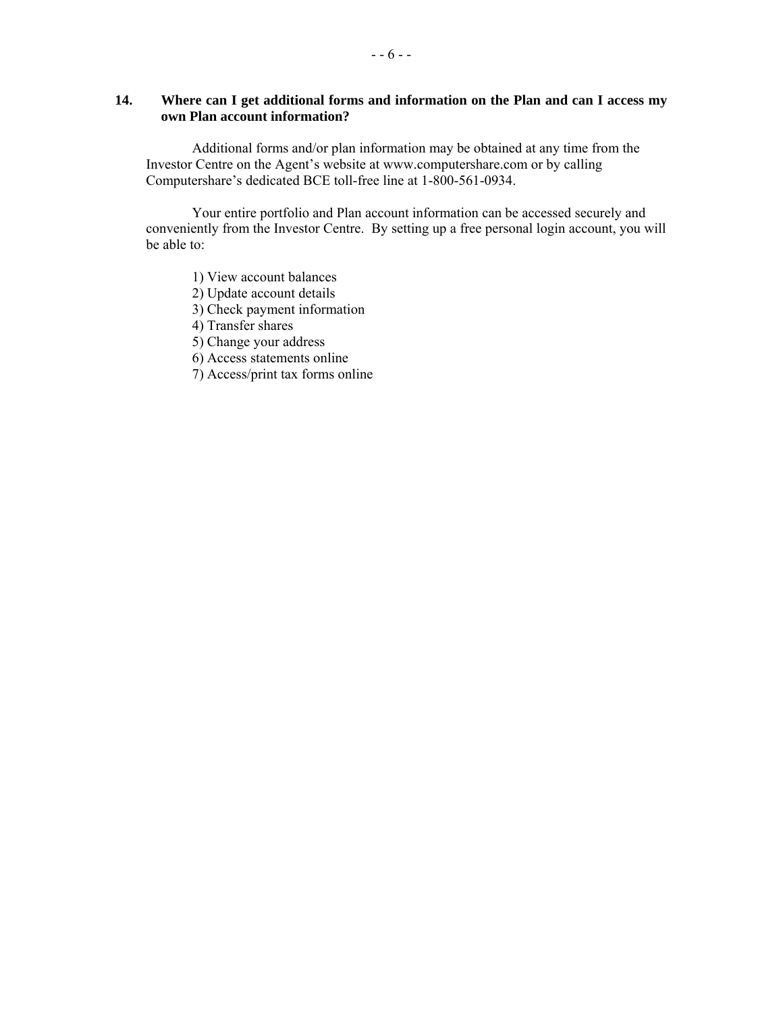### **14. Where can I get additional forms and information on the Plan and can I access my own Plan account information?**

Additional forms and/or plan information may be obtained at any time from the Investor Centre on the Agent's website at www.computershare.com or by calling Computershare's dedicated BCE toll-free line at 1-800-561-0934.

Your entire portfolio and Plan account information can be accessed securely and conveniently from the Investor Centre. By setting up a free personal login account, you will be able to:

1) View account balances

2) Update account details

3) Check payment information

4) Transfer shares

5) Change your address

6) Access statements online

7) Access/print tax forms online